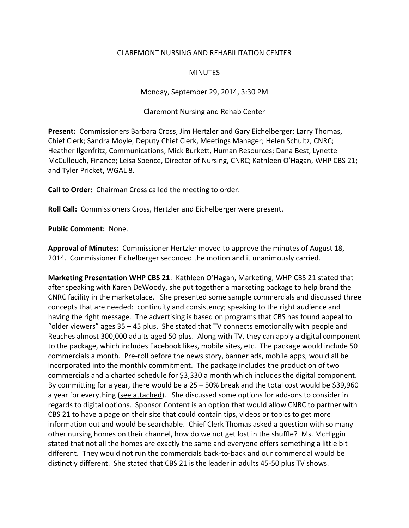## CLAREMONT NURSING AND REHABILITATION CENTER

## **MINUTES**

Monday, September 29, 2014, 3:30 PM

Claremont Nursing and Rehab Center

**Present:** Commissioners Barbara Cross, Jim Hertzler and Gary Eichelberger; Larry Thomas, Chief Clerk; Sandra Moyle, Deputy Chief Clerk, Meetings Manager; Helen Schultz, CNRC; Heather Ilgenfritz, Communications; Mick Burkett, Human Resources; Dana Best, Lynette McCullouch, Finance; Leisa Spence, Director of Nursing, CNRC; Kathleen O'Hagan, WHP CBS 21; and Tyler Pricket, WGAL 8.

**Call to Order:** Chairman Cross called the meeting to order.

**Roll Call:** Commissioners Cross, Hertzler and Eichelberger were present.

**Public Comment:** None.

**Approval of Minutes:** Commissioner Hertzler moved to approve the minutes of August 18, 2014. Commissioner Eichelberger seconded the motion and it unanimously carried.

**Marketing Presentation WHP CBS 21**: Kathleen O'Hagan, Marketing, WHP CBS 21 stated that after speaking with Karen DeWoody, she put together a marketing package to help brand the CNRC facility in the marketplace. She presented some sample commercials and discussed three concepts that are needed: continuity and consistency; speaking to the right audience and having the right message. The advertising is based on programs that CBS has found appeal to "older viewers" ages 35 – 45 plus. She stated that TV connects emotionally with people and Reaches almost 300,000 adults aged 50 plus. Along with TV, they can apply a digital component to the package, which includes Facebook likes, mobile sites, etc. The package would include 50 commercials a month. Pre-roll before the news story, banner ads, mobile apps, would all be incorporated into the monthly commitment. The package includes the production of two commercials and a charted schedule for \$3,330 a month which includes the digital component. By committing for a year, there would be a  $25 - 50%$  break and the total cost would be \$39,960 a year for everything (see attached). She discussed some options for add-ons to consider in regards to digital options. Sponsor Content is an option that would allow CNRC to partner with CBS 21 to have a page on their site that could contain tips, videos or topics to get more information out and would be searchable. Chief Clerk Thomas asked a question with so many other nursing homes on their channel, how do we not get lost in the shuffle? Ms. McHiggin stated that not all the homes are exactly the same and everyone offers something a little bit different. They would not run the commercials back-to-back and our commercial would be distinctly different. She stated that CBS 21 is the leader in adults 45-50 plus TV shows.